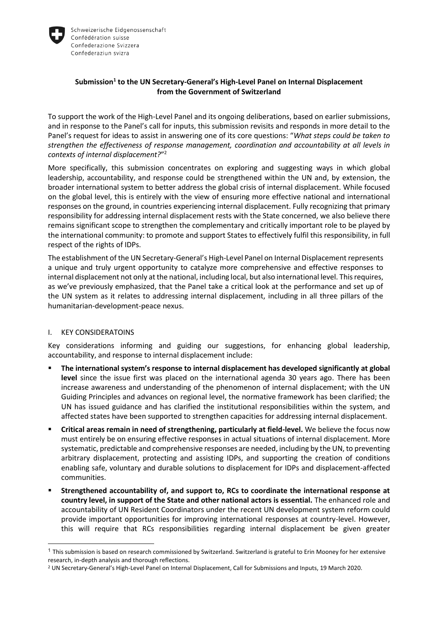

# **Submission<sup>1</sup> to the UN Secretary-General's High-Level Panel on Internal Displacement from the Government of Switzerland**

To support the work of the High-Level Panel and its ongoing deliberations, based on earlier submissions, and in response to the Panel's call for inputs, this submission revisits and responds in more detail to the Panel's request for ideas to assist in answering one of its core questions: "*What steps could be taken to strengthen the effectiveness of response management, coordination and accountability at all levels in contexts of internal displacement?*" 2

More specifically, this submission concentrates on exploring and suggesting ways in which global leadership, accountability, and response could be strengthened within the UN and, by extension, the broader international system to better address the global crisis of internal displacement. While focused on the global level, this is entirely with the view of ensuring more effective national and international responses on the ground, in countries experiencing internal displacement. Fully recognizing that primary responsibility for addressing internal displacement rests with the State concerned, we also believe there remains significant scope to strengthen the complementary and critically important role to be played by the international community: to promote and support States to effectively fulfil this responsibility, in full respect of the rights of IDPs.

The establishment of the UN Secretary-General's High-Level Panel on Internal Displacement represents a unique and truly urgent opportunity to catalyze more comprehensive and effective responses to internal displacement not only at the national, including local, but also international level. This requires, as we've previously emphasized, that the Panel take a critical look at the performance and set up of the UN system as it relates to addressing internal displacement, including in all three pillars of the humanitarian-development-peace nexus.

# I. KEY CONSIDERATOINS

 $\overline{a}$ 

Key considerations informing and guiding our suggestions, for enhancing global leadership, accountability, and response to internal displacement include:

- **The international system's response to internal displacement has developed significantly at global level** since the issue first was placed on the international agenda 30 years ago. There has been increase awareness and understanding of the phenomenon of internal displacement; with the UN Guiding Principles and advances on regional level, the normative framework has been clarified; the UN has issued guidance and has clarified the institutional responsibilities within the system, and affected states have been supported to strengthen capacities for addressing internal displacement.
- **Critical areas remain in need of strengthening, particularly at field-level.** We believe the focus now must entirely be on ensuring effective responses in actual situations of internal displacement. More systematic, predictable and comprehensive responses are needed, including by the UN, to preventing arbitrary displacement, protecting and assisting IDPs, and supporting the creation of conditions enabling safe, voluntary and durable solutions to displacement for IDPs and displacement-affected communities.
- **Strengthened accountability of, and support to, RCs to coordinate the international response at country level, in support of the State and other national actors is essential.** The enhanced role and accountability of UN Resident Coordinators under the recent UN development system reform could provide important opportunities for improving international responses at country-level. However, this will require that RCs responsibilities regarding internal displacement be given greater

 $1$  This submission is based on research commissioned by Switzerland. Switzerland is grateful to Erin Mooney for her extensive research, in-depth analysis and thorough reflections.

<sup>2</sup> UN Secretary-General's High-Level Panel on Internal Displacement, Call for Submissions and Inputs, 19 March 2020.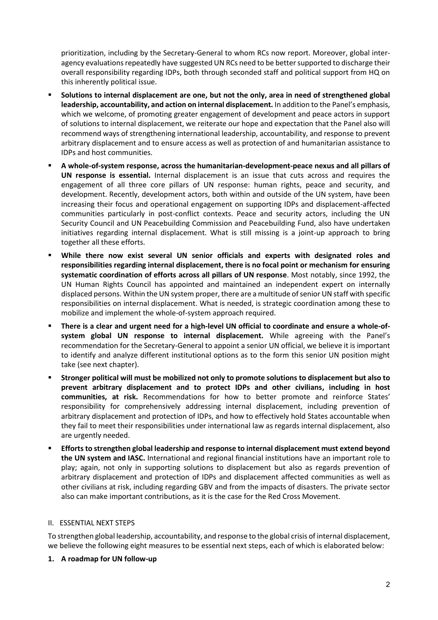prioritization, including by the Secretary-General to whom RCs now report. Moreover, global interagency evaluations repeatedly have suggested UN RCs need to be better supported to discharge their overall responsibility regarding IDPs, both through seconded staff and political support from HQ on this inherently political issue.

- **Solutions to internal displacement are one, but not the only, area in need of strengthened global leadership, accountability, and action on internal displacement.** In addition to the Panel's emphasis, which we welcome, of promoting greater engagement of development and peace actors in support of solutions to internal displacement, we reiterate our hope and expectation that the Panel also will recommend ways of strengthening international leadership, accountability, and response to prevent arbitrary displacement and to ensure access as well as protection of and humanitarian assistance to IDPs and host communities.
- **A whole-of-system response, across the humanitarian-development-peace nexus and all pillars of UN response is essential.** Internal displacement is an issue that cuts across and requires the engagement of all three core pillars of UN response: human rights, peace and security, and development. Recently, development actors, both within and outside of the UN system, have been increasing their focus and operational engagement on supporting IDPs and displacement-affected communities particularly in post-conflict contexts. Peace and security actors, including the UN Security Council and UN Peacebuilding Commission and Peacebuilding Fund, also have undertaken initiatives regarding internal displacement. What is still missing is a joint-up approach to bring together all these efforts.
- **While there now exist several UN senior officials and experts with designated roles and responsibilities regarding internal displacement, there is no focal point or mechanism for ensuring systematic coordination of efforts across all pillars of UN response**. Most notably, since 1992, the UN Human Rights Council has appointed and maintained an independent expert on internally displaced persons. Within the UN system proper, there are a multitude of senior UN staff with specific responsibilities on internal displacement. What is needed, is strategic coordination among these to mobilize and implement the whole-of-system approach required.
- **There is a clear and urgent need for a high-level UN official to coordinate and ensure a whole-ofsystem global UN response to internal displacement.** While agreeing with the Panel's recommendation for the Secretary-General to appoint a senior UN official, we believe it is important to identify and analyze different institutional options as to the form this senior UN position might take (see next chapter).
- **Stronger political will must be mobilized not only to promote solutions to displacement but also to prevent arbitrary displacement and to protect IDPs and other civilians, including in host communities, at risk.** Recommendations for how to better promote and reinforce States' responsibility for comprehensively addressing internal displacement, including prevention of arbitrary displacement and protection of IDPs, and how to effectively hold States accountable when they fail to meet their responsibilities under international law as regards internal displacement, also are urgently needed.
- **Efforts to strengthen global leadership and response to internal displacement must extend beyond the UN system and IASC.** International and regional financial institutions have an important role to play; again, not only in supporting solutions to displacement but also as regards prevention of arbitrary displacement and protection of IDPs and displacement affected communities as well as other civilians at risk, including regarding GBV and from the impacts of disasters. The private sector also can make important contributions, as it is the case for the Red Cross Movement.

#### II. ESSENTIAL NEXT STEPS

To strengthen global leadership, accountability, and response to the global crisis of internal displacement, we believe the following eight measures to be essential next steps, each of which is elaborated below:

# **1. A roadmap for UN follow-up**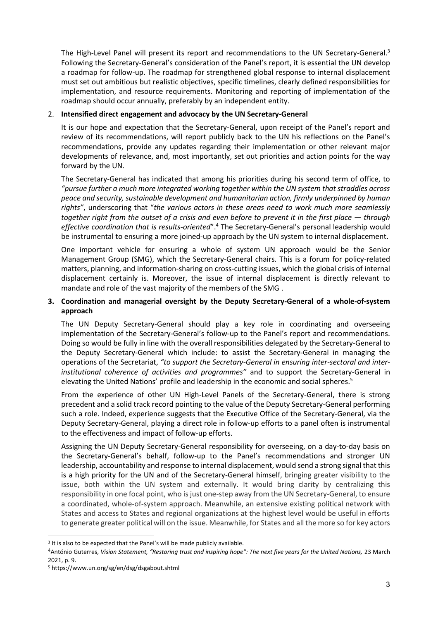The High-Level Panel will present its report and recommendations to the UN Secretary-General.<sup>3</sup> Following the Secretary-General's consideration of the Panel's report, it is essential the UN develop a roadmap for follow-up. The roadmap for strengthened global response to internal displacement must set out ambitious but realistic objectives, specific timelines, clearly defined responsibilities for implementation, and resource requirements. Monitoring and reporting of implementation of the roadmap should occur annually, preferably by an independent entity.

## 2. **Intensified direct engagement and advocacy by the UN Secretary-General**

It is our hope and expectation that the Secretary-General, upon receipt of the Panel's report and review of its recommendations, will report publicly back to the UN his reflections on the Panel's recommendations, provide any updates regarding their implementation or other relevant major developments of relevance, and, most importantly, set out priorities and action points for the way forward by the UN.

The Secretary-General has indicated that among his priorities during his second term of office, to *"pursue further a much more integrated working together within the UN system that straddles across peace and security, sustainable development and humanitarian action, firmly underpinned by human rights"*, underscoring that "*the various actors in these areas need to work much more seamlessly together right from the outset of a crisis and even before to prevent it in the first place*  $-$  *<i>through effective coordination that is results-oriented*".<sup>4</sup> The Secretary-General's personal leadership would be instrumental to ensuring a more joined-up approach by the UN system to internal displacement.

One important vehicle for ensuring a whole of system UN approach would be the Senior Management Group (SMG), which the Secretary-General chairs. This is a forum for policy-related matters, planning, and information-sharing on cross-cutting issues, which the global crisis of internal displacement certainly is. Moreover, the issue of internal displacement is directly relevant to mandate and role of the vast majority of the members of the SMG .

## **3. Coordination and managerial oversight by the Deputy Secretary-General of a whole-of-system approach**

The UN Deputy Secretary-General should play a key role in coordinating and overseeing implementation of the Secretary-General's follow-up to the Panel's report and recommendations. Doing so would be fully in line with the overall responsibilities delegated by the Secretary-General to the Deputy Secretary-General which include: to assist the Secretary-General in managing the operations of the Secretariat, *"to support the Secretary-General in ensuring inter-sectoral and interinstitutional coherence of activities and programmes"* and to support the Secretary-General in elevating the United Nations' profile and leadership in the economic and social spheres.<sup>5</sup>

From the experience of other UN High-Level Panels of the Secretary-General, there is strong precedent and a solid track record pointing to the value of the Deputy Secretary-General performing such a role. Indeed, experience suggests that the Executive Office of the Secretary-General, via the Deputy Secretary-General, playing a direct role in follow-up efforts to a panel often is instrumental to the effectiveness and impact of follow-up efforts.

Assigning the UN Deputy Secretary-General responsibility for overseeing, on a day-to-day basis on the Secretary-General's behalf, follow-up to the Panel's recommendations and stronger UN leadership, accountability and response to internal displacement, would send a strong signal that this is a high priority for the UN and of the Secretary-General himself, bringing greater visibility to the issue, both within the UN system and externally. It would bring clarity by centralizing this responsibility in one focal point, who is just one-step away from the UN Secretary-General, to ensure a coordinated, whole-of-system approach. Meanwhile, an extensive existing political network with States and access to States and regional organizations at the highest level would be useful in efforts to generate greater political will on the issue. Meanwhile, for States and all the more so for key actors

l

<sup>&</sup>lt;sup>3</sup> It is also to be expected that the Panel's will be made publicly available.

<sup>4</sup>António Guterres, *Vision Statement, "Restoring trust and inspiring hope": The next five years for the United Nations,* 23 March 2021, p. 9.

<sup>5</sup> https://www.un.org/sg/en/dsg/dsgabout.shtml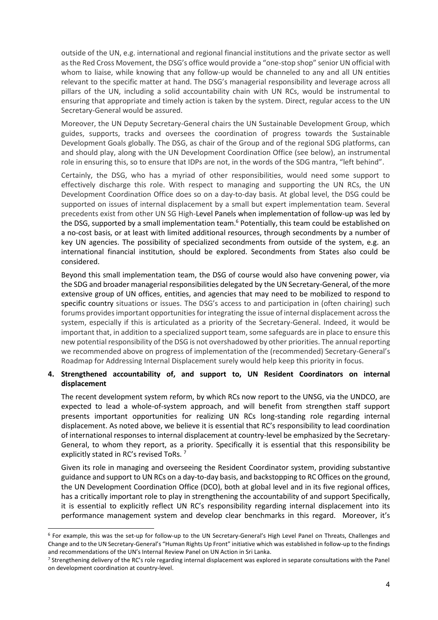outside of the UN, e.g. international and regional financial institutions and the private sector as well as the Red Cross Movement, the DSG's office would provide a "one-stop shop" senior UN official with whom to liaise, while knowing that any follow-up would be channeled to any and all UN entities relevant to the specific matter at hand. The DSG's managerial responsibility and leverage across all pillars of the UN, including a solid accountability chain with UN RCs, would be instrumental to ensuring that appropriate and timely action is taken by the system. Direct, regular access to the UN Secretary-General would be assured.

Moreover, the UN Deputy Secretary-General chairs the UN Sustainable Development Group, which guides, supports, tracks and oversees the coordination of progress towards the Sustainable Development Goals globally. The DSG, as chair of the Group and of the regional SDG platforms, can and should play, along with the UN Development Coordination Office (see below), an instrumental role in ensuring this, so to ensure that IDPs are not, in the words of the SDG mantra, "left behind".

Certainly, the DSG, who has a myriad of other responsibilities, would need some support to effectively discharge this role. With respect to managing and supporting the UN RCs, the UN Development Coordination Office does so on a day-to-day basis. At global level, the DSG could be supported on issues of internal displacement by a small but expert implementation team. Several precedents exist from other UN SG High-Level Panels when implementation of follow-up was led by the DSG, supported by a small implementation team.<sup>6</sup> Potentially, this team could be established on a no-cost basis, or at least with limited additional resources, through secondments by a number of key UN agencies. The possibility of specialized secondments from outside of the system, e.g. an international financial institution, should be explored. Secondments from States also could be considered.

Beyond this small implementation team, the DSG of course would also have convening power, via the SDG and broader managerial responsibilities delegated by the UN Secretary-General, of the more extensive group of UN offices, entities, and agencies that may need to be mobilized to respond to specific country situations or issues. The DSG's access to and participation in (often chairing) such forums provides important opportunities for integrating the issue of internal displacement across the system, especially if this is articulated as a priority of the Secretary-General. Indeed, it would be important that, in addition to a specialized support team, some safeguards are in place to ensure this new potential responsibility of the DSG is not overshadowed by other priorities. The annual reporting we recommended above on progress of implementation of the (recommended) Secretary-General's Roadmap for Addressing Internal Displacement surely would help keep this priority in focus.

## **4. Strengthened accountability of, and support to, UN Resident Coordinators on internal displacement**

The recent development system reform, by which RCs now report to the UNSG, via the UNDCO, are expected to lead a whole-of-system approach, and will benefit from strengthen staff support presents important opportunities for realizing UN RCs long-standing role regarding internal displacement. As noted above, we believe it is essential that RC's responsibility to lead coordination of international responses to internal displacement at country-level be emphasized by the Secretary-General, to whom they report, as a priority. Specifically it is essential that this responsibility be explicitly stated in RC's revised ToRs.<sup>7</sup>

Given its role in managing and overseeing the Resident Coordinator system, providing substantive guidance and support to UN RCs on a day-to-day basis, and backstopping to RC Offices on the ground, the UN Development Coordination Office (DCO), both at global level and in its five regional offices, has a critically important role to play in strengthening the accountability of and support Specifically, it is essential to explicitly reflect UN RC's responsibility regarding internal displacement into its performance management system and develop clear benchmarks in this regard. Moreover, it's

l

<sup>6</sup> For example, this was the set-up for follow-up to the UN Secretary-General's High Level Panel on Threats, Challenges and Change and to the UN Secretary-General's "Human Rights Up Front" initiative which was established in follow-up to the findings and recommendations of the UN's Internal Review Panel on UN Action in Sri Lanka.

<sup>&</sup>lt;sup>7</sup> Strengthening delivery of the RC's role regarding internal displacement was explored in separate consultations with the Panel on development coordination at country-level.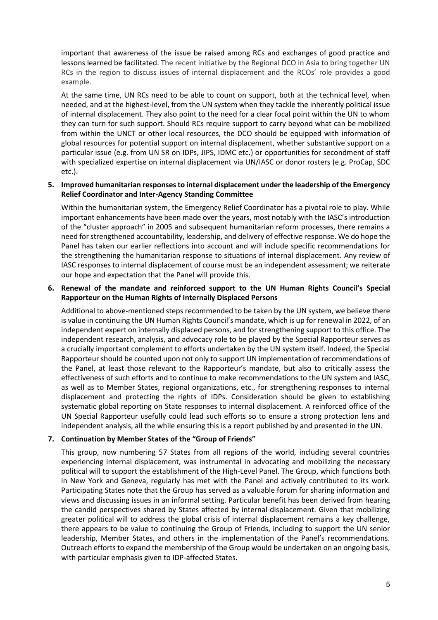important that awareness of the issue be raised among RCs and exchanges of good practice and lessons learned be facilitated. The recent initiative by the Regional DCO in Asia to bring together UN RCs in the region to discuss issues of internal displacement and the RCOs' role provides a good example.

At the same time, UN RCs need to be able to count on support, both at the technical level, when needed, and at the highest-level, from the UN system when they tackle the inherently political issue of internal displacement. They also point to the need for a clear focal point within the UN to whom they can turn for such support. Should RCs require support to carry beyond what can be mobilized from within the UNCT or other local resources, the DCO should be equipped with information of global resources for potential support on internal displacement, whether substantive support on a particular issue (e.g. from UN SR on IDPs, JIPS, IDMC etc.) or opportunities for secondment of staff with specialized expertise on internal displacement via UN/IASC or donor rosters (e.g. ProCap, SDC etc.).

### **5. Improved humanitarian responses to internal displacement under the leadership of the Emergency Relief Coordinator and Inter-Agency Standing Committee**

Within the humanitarian system, the Emergency Relief Coordinator has a pivotal role to play. While important enhancements have been made over the years, most notably with the IASC's introduction of the "cluster approach" in 2005 and subsequent humanitarian reform processes, there remains a need for strengthened accountability, leadership, and delivery of effective response. We do hope the Panel has taken our earlier reflections into account and will include specific recommendations for the strengthening the humanitarian response to situations of internal displacement. Any review of IASC responses to internal displacement of course must be an independent assessment; we reiterate our hope and expectation that the Panel will provide this.

## **6. Renewal of the mandate and reinforced support to the UN Human Rights Council's Special Rapporteur on the Human Rights of Internally Displaced Persons**

Additional to above-mentioned steps recommended to be taken by the UN system, we believe there is value in continuing the UN Human Rights Council's mandate, which is up for renewal in 2022, of an independent expert on internally displaced persons, and for strengthening support to this office. The independent research, analysis, and advocacy role to be played by the Special Rapporteur serves as a crucially important complement to efforts undertaken by the UN system itself. Indeed, the Special Rapporteur should be counted upon not only to support UN implementation of recommendations of the Panel, at least those relevant to the Rapporteur's mandate, but also to critically assess the effectiveness of such efforts and to continue to make recommendations to the UN system and IASC, as well as to Member States, regional organizations, etc., for strengthening responses to internal displacement and protecting the rights of IDPs. Consideration should be given to establishing systematic global reporting on State responses to internal displacement. A reinforced office of the UN Special Rapporteur usefully could lead such efforts so to ensure a strong protection lens and independent analysis, all the while ensuring this is a report published by and presented in the UN.

#### **7. Continuation by Member States of the "Group of Friends"**

This group, now numbering 57 States from all regions of the world, including several countries experiencing internal displacement, was instrumental in advocating and mobilizing the necessary political will to support the establishment of the High-Level Panel. The Group, which functions both in New York and Geneva, regularly has met with the Panel and actively contributed to its work. Participating States note that the Group has served as a valuable forum for sharing information and views and discussing issues in an informal setting. Particular benefit has been derived from hearing the candid perspectives shared by States affected by internal displacement. Given that mobilizing greater political will to address the global crisis of internal displacement remains a key challenge, there appears to be value to continuing the Group of Friends, including to support the UN senior leadership, Member States, and others in the implementation of the Panel's recommendations. Outreach efforts to expand the membership of the Group would be undertaken on an ongoing basis, with particular emphasis given to IDP-affected States.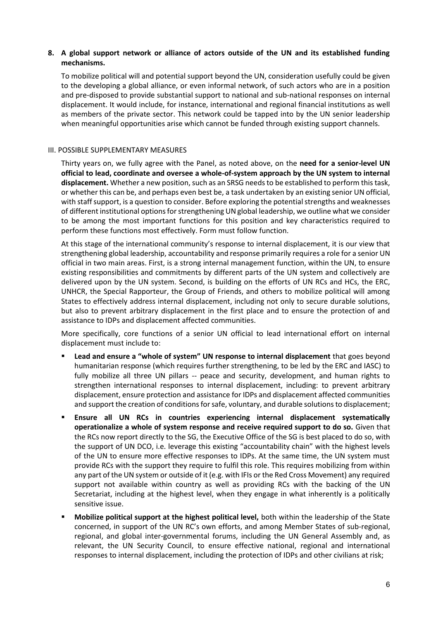## **8. A global support network or alliance of actors outside of the UN and its established funding mechanisms.**

To mobilize political will and potential support beyond the UN, consideration usefully could be given to the developing a global alliance, or even informal network, of such actors who are in a position and pre-disposed to provide substantial support to national and sub-national responses on internal displacement. It would include, for instance, international and regional financial institutions as well as members of the private sector. This network could be tapped into by the UN senior leadership when meaningful opportunities arise which cannot be funded through existing support channels.

### III. POSSIBLE SUPPLEMENTARY MEASURES

Thirty years on, we fully agree with the Panel, as noted above, on the **need for a senior-level UN official to lead, coordinate and oversee a whole-of-system approach by the UN system to internal displacement.** Whether a new position, such as an SRSG needs to be established to perform this task, or whether this can be, and perhaps even best be, a task undertaken by an existing senior UN official, with staff support, is a question to consider. Before exploring the potential strengths and weaknesses of different institutional options for strengthening UN global leadership, we outline what we consider to be among the most important functions for this position and key characteristics required to perform these functions most effectively. Form must follow function.

At this stage of the international community's response to internal displacement, it is our view that strengthening global leadership, accountability and response primarily requires a role for a senior UN official in two main areas. First, is a strong internal management function, within the UN, to ensure existing responsibilities and commitments by different parts of the UN system and collectively are delivered upon by the UN system. Second, is building on the efforts of UN RCs and HCs, the ERC, UNHCR, the Special Rapporteur, the Group of Friends, and others to mobilize political will among States to effectively address internal displacement, including not only to secure durable solutions, but also to prevent arbitrary displacement in the first place and to ensure the protection of and assistance to IDPs and displacement affected communities.

More specifically, core functions of a senior UN official to lead international effort on internal displacement must include to:

- **Lead and ensure a "whole of system" UN response to internal displacement** that goes beyond humanitarian response (which requires further strengthening, to be led by the ERC and IASC) to fully mobilize all three UN pillars -- peace and security, development, and human rights to strengthen international responses to internal displacement, including: to prevent arbitrary displacement, ensure protection and assistance for IDPs and displacement affected communities and support the creation of conditions for safe, voluntary, and durable solutions to displacement;
- **Ensure all UN RCs in countries experiencing internal displacement systematically operationalize a whole of system response and receive required support to do so.** Given that the RCs now report directly to the SG, the Executive Office of the SG is best placed to do so, with the support of UN DCO, i.e. leverage this existing "accountability chain" with the highest levels of the UN to ensure more effective responses to IDPs. At the same time, the UN system must provide RCs with the support they require to fulfil this role. This requires mobilizing from within any part of the UN system or outside of it (e.g. with IFIs or the Red Cross Movement) any required support not available within country as well as providing RCs with the backing of the UN Secretariat, including at the highest level, when they engage in what inherently is a politically sensitive issue.
- **Mobilize political support at the highest political level,** both within the leadership of the State concerned, in support of the UN RC's own efforts, and among Member States of sub-regional, regional, and global inter-governmental forums, including the UN General Assembly and, as relevant, the UN Security Council, to ensure effective national, regional and international responses to internal displacement, including the protection of IDPs and other civilians at risk;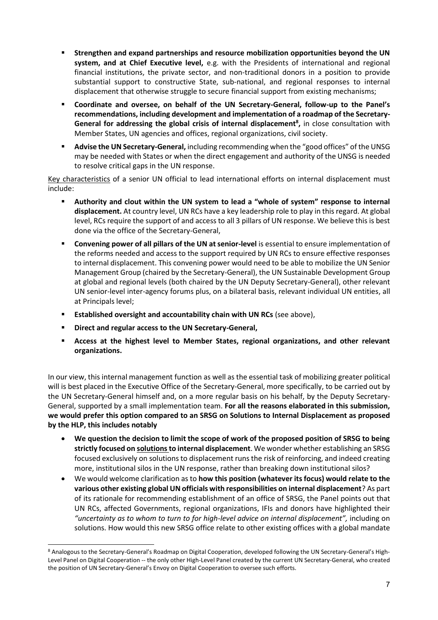- **Strengthen and expand partnerships and resource mobilization opportunities beyond the UN system, and at Chief Executive level,** e.g. with the Presidents of international and regional financial institutions, the private sector, and non-traditional donors in a position to provide substantial support to constructive State, sub-national, and regional responses to internal displacement that otherwise struggle to secure financial support from existing mechanisms;
- **Coordinate and oversee, on behalf of the UN Secretary-General, follow-up to the Panel's recommendations, including development and implementation of a roadmap of the Secretary-General for addressing the global crisis of internal displacement<sup>8</sup> ,** in close consultation with Member States, UN agencies and offices, regional organizations, civil society.
- **Advise the UN Secretary-General,** including recommending when the "good offices" of the UNSG may be needed with States or when the direct engagement and authority of the UNSG is needed to resolve critical gaps in the UN response.

Key characteristics of a senior UN official to lead international efforts on internal displacement must include:

- **Authority and clout within the UN system to lead a "whole of system" response to internal displacement.** At country level, UN RCs have a key leadership role to play in this regard. At global level, RCs require the support of and access to all 3 pillars of UN response. We believe this is best done via the office of the Secretary-General,
- **Convening power of all pillars of the UN at senior-level** is essential to ensure implementation of the reforms needed and access to the support required by UN RCs to ensure effective responses to internal displacement. This convening power would need to be able to mobilize the UN Senior Management Group (chaired by the Secretary-General), the UN Sustainable Development Group at global and regional levels (both chaired by the UN Deputy Secretary-General), other relevant UN senior-level inter-agency forums plus, on a bilateral basis, relevant individual UN entities, all at Principals level;
- **Established oversight and accountability chain with UN RCs** (see above),
- **Direct and regular access to the UN Secretary-General,**

 $\overline{a}$ 

 **Access at the highest level to Member States, regional organizations, and other relevant organizations.** 

In our view, this internal management function as well as the essential task of mobilizing greater political will is best placed in the Executive Office of the Secretary-General, more specifically, to be carried out by the UN Secretary-General himself and, on a more regular basis on his behalf, by the Deputy Secretary-General, supported by a small implementation team. **For all the reasons elaborated in this submission, we would prefer this option compared to an SRSG on Solutions to Internal Displacement as proposed by the HLP, this includes notably**

- **We question the decision to limit the scope of work of the proposed position of SRSG to being strictly focused on solutions to internal displacement**. We wonder whether establishing an SRSG focused exclusively on solutions to displacement runs the risk of reinforcing, and indeed creating more, institutional silos in the UN response, rather than breaking down institutional silos?
- We would welcome clarification as to **how this position (whatever its focus) would relate to the various other existing global UN officials with responsibilities on internal displacement**? As part of its rationale for recommending establishment of an office of SRSG, the Panel points out that UN RCs, affected Governments, regional organizations, IFIs and donors have highlighted their *"uncertainty as to whom to turn to for high-level advice on internal displacement",* including on solutions. How would this new SRSG office relate to other existing offices with a global mandate

<sup>8</sup> Analogous to the Secretary-General's Roadmap on Digital Cooperation, developed following the UN Secretary-General's High-Level Panel on Digital Cooperation -- the only other High-Level Panel created by the current UN Secretary-General, who created the position of UN Secretary-General's Envoy on Digital Cooperation to oversee such efforts.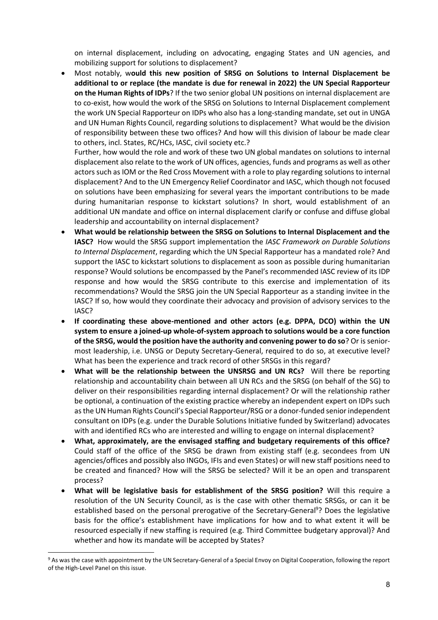on internal displacement, including on advocating, engaging States and UN agencies, and mobilizing support for solutions to displacement?

 Most notably, w**ould this new position of SRSG on Solutions to Internal Displacement be additional to or replace (the mandate is due for renewal in 2022) the UN Special Rapporteur on the Human Rights of IDPs**? If the two senior global UN positions on internal displacement are to co-exist, how would the work of the SRSG on Solutions to Internal Displacement complement the work UN Special Rapporteur on IDPs who also has a long-standing mandate, set out in UNGA and UN Human Rights Council, regarding solutions to displacement? What would be the division of responsibility between these two offices? And how will this division of labour be made clear to others, incl. States, RC/HCs, IASC, civil society etc.?

Further, how would the role and work of these two UN global mandates on solutions to internal displacement also relate to the work of UN offices, agencies, funds and programs as well as other actors such as IOM or the Red Cross Movement with a role to play regarding solutions to internal displacement? And to the UN Emergency Relief Coordinator and IASC, which though not focused on solutions have been emphasizing for several years the important contributions to be made during humanitarian response to kickstart solutions? In short, would establishment of an additional UN mandate and office on internal displacement clarify or confuse and diffuse global leadership and accountability on internal displacement?

- **What would be relationship between the SRSG on Solutions to Internal Displacement and the IASC?** How would the SRSG support implementation the *IASC Framework on Durable Solutions to Internal Displacement*, regarding which the UN Special Rapporteur has a mandated role? And support the IASC to kickstart solutions to displacement as soon as possible during humanitarian response? Would solutions be encompassed by the Panel's recommended IASC review of its IDP response and how would the SRSG contribute to this exercise and implementation of its recommendations? Would the SRSG join the UN Special Rapporteur as a standing invitee in the IASC? If so, how would they coordinate their advocacy and provision of advisory services to the IASC?
- **If coordinating these above-mentioned and other actors (e.g. DPPA, DCO) within the UN system to ensure a joined-up whole-of-system approach to solutions would be a core function of the SRSG, would the position have the authority and convening power to do so**? Or is seniormost leadership, i.e. UNSG or Deputy Secretary-General, required to do so, at executive level? What has been the experience and track record of other SRSGs in this regard?
- **What will be the relationship between the UNSRSG and UN RCs?** Will there be reporting relationship and accountability chain between all UN RCs and the SRSG (on behalf of the SG) to deliver on their responsibilities regarding internal displacement? Or will the relationship rather be optional, a continuation of the existing practice whereby an independent expert on IDPs such as the UN Human Rights Council's Special Rapporteur/RSG or a donor-funded senior independent consultant on IDPs (e.g. under the Durable Solutions Initiative funded by Switzerland) advocates with and identified RCs who are interested and willing to engage on internal displacement?
- **What, approximately, are the envisaged staffing and budgetary requirements of this office?**  Could staff of the office of the SRSG be drawn from existing staff (e.g. secondees from UN agencies/offices and possibly also INGOs, IFIs and even States) or will new staff positions need to be created and financed? How will the SRSG be selected? Will it be an open and transparent process?
- **What will be legislative basis for establishment of the SRSG position?** Will this require a resolution of the UN Security Council, as is the case with other thematic SRSGs, or can it be established based on the personal prerogative of the Secretary-General<sup>9</sup>? Does the legislative basis for the office's establishment have implications for how and to what extent it will be resourced especially if new staffing is required (e.g. Third Committee budgetary approval)? And whether and how its mandate will be accepted by States?

l

<sup>&</sup>lt;sup>9</sup> As was the case with appointment by the UN Secretary-General of a Special Envoy on Digital Cooperation, following the report of the High-Level Panel on this issue.